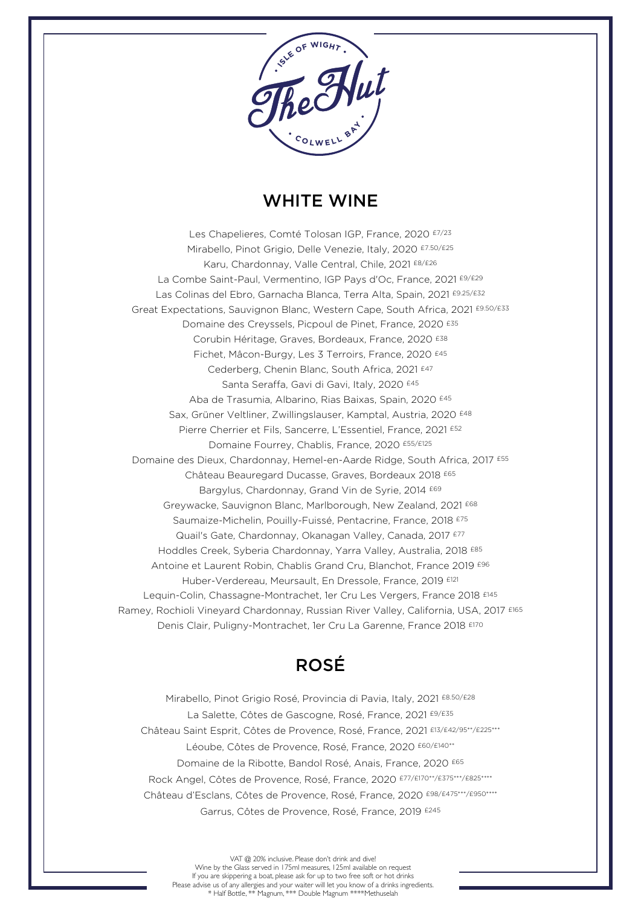

# WHITE WINE

Fichet, Mâcon-Burgy, Les 3 Terroirs, France, 2020 £45 Corubin Héritage, Graves, Bordeaux, France, 2020 <sup>£38</sup><br>Fichet, Mâcon-Burgy, Les 3 Terroirs, France, 2020 <sup>£45</sup> Karu, Chardonnay, Valle Central, Chile, 2021 <sup>£8/£26</sup><br>9 Saint-Paul, Vermentino, IGP Pays d'Oc, France, <mark>:</mark> Les Chapelieres, Comté Tolosan IGP, France, 2020 £7/23 Mirabello, Pinot Grigio, Delle Venezie, Italy, 2020 £7.50/£25 La Combe Saint-Paul, Vermentino, IGP Pays d'Oc, France, 2021 £9/£29 Las Colinas del Ebro, Garnacha Blanca, Terra Alta, Spain, 2021 £9.25/£32 Great Expectations, Sauvignon Blanc, Western Cape, South Africa, 2021 £9.50/£33 Domaine des Creyssels, Picpoul de Pinet, France, 2020 £35 Cederberg, Chenin Blanc, South Africa, 2021 £47 Santa Seraffa, Gavi di Gavi, Italy, 2020 £45 Aba de Trasumia, Albarino, Rias Baixas, Spain, 2020 £45 Sax, Grüner Veltliner, Zwillingslauser, Kamptal, Austria, 2020 £48 Pierre Cherrier et Fils, Sancerre, L'Essentiel, France, 2021 £52 Domaine Fourrey, Chablis, France, 2020 £55/£125 Domaine des Dieux, Chardonnay, Hemel-en-Aarde Ridge, South Africa, 2017 £55 Château Beauregard Ducasse, Graves, Bordeaux 2018 £65 Bargylus, Chardonnay, Grand Vin de Syrie, 2014 <sup>£69</sup> Greywacke, Sauvignon Blanc, Marlborough, New Zealand, 2021 £68 Saumaize-Michelin, Pouilly-Fuissé, Pentacrine, France, 2018 <sup>£75</sup> Quail's Gate, Chardonnay, Okanagan Valley, Canada, 2017 £77 Hoddles Creek, Syberia Chardonnay, Yarra Valley, Australia, 2018 £85 Antoine et Laurent Robin, Chablis Grand Cru, Blanchot, France 2019 £96 Huber-Verdereau, Meursault, En Dressole, France, 2019 £121 Lequin-Colin, Chassagne-Montrachet, 1er Cru Les Vergers, France 2018 £145 Ramey, Rochioli Vineyard Chardonnay, Russian River Valley, California, USA, 2017 £165 Denis Clair, Puligny-Montrachet, 1er Cru La Garenne, France 2018 £170

# ROSÉ

Mirabello, Pinot Grigio Rosé, Provincia di Pavia, Italy, 2021 £8.50/£28 La Salette, Côtes de Gascogne, Rosé, France, 2021 £9/£35 Château Saint Esprit, Côtes de Provence, Rosé, France, 2021 £13/£42/95\*\*/£225\*\*\* Léoube, Côtes de Provence, Rosé, France, 2020 £60/£140\*\* Domaine de la Ribotte, Bandol Rosé, Anais, France, 2020 £65 Rock Angel, Côtes de Provence, Rosé, France, 2020 £77/£170\*\*/£375\*\*\*/£825\*\*\*\* Château d'Esclans, Côtes de Provence, Rosé, France, 2020 £98/£475\*\*\*/£950\*\*\*\* Garrus, Côtes de Provence, Rosé, France, 2019 £245

VAT @ 20% inclusive. Please don't drink and dive! Wine by the Glass served in 175ml measures, 125ml available on request If you are skippering a boat, please ask for up to two free soft or hot drinks Please advise us of any allergies and your waiter will let you know of a drinks ingredients. \* Half Bottle, \*\* Magnum, \*\*\* Double Magnum \*\*\*\*Methuselah